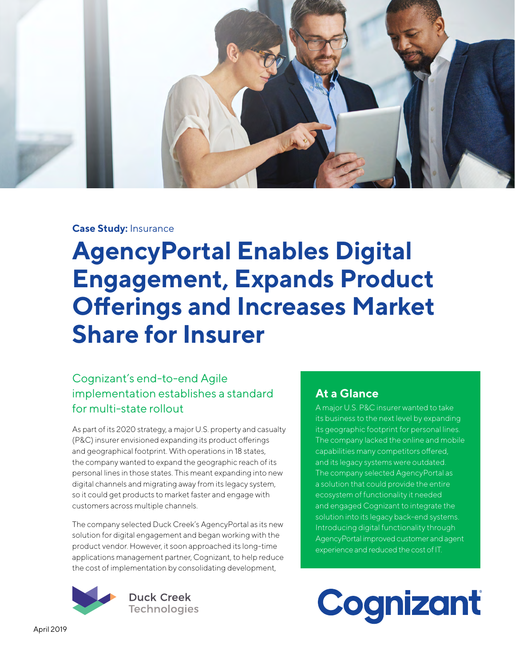

# **Case Study:** Insurance

**AgencyPortal Enables Digital Engagement, Expands Product Offerings and Increases Market Share for Insurer**

# Cognizant's end-to-end Agile implementation establishes a standard for multi-state rollout

As part of its 2020 strategy, a major U.S. property and casualty (P&C) insurer envisioned expanding its product offerings and geographical footprint. With operations in 18 states, the company wanted to expand the geographic reach of its personal lines in those states. This meant expanding into new digital channels and migrating away from its legacy system, so it could get products to market faster and engage with customers across multiple channels.

The company selected Duck Creek's AgencyPortal as its new solution for digital engagement and began working with the product vendor. However, it soon approached its long-time applications management partner, Cognizant, to help reduce the cost of implementation by consolidating development,



**Duck Creek Technologies** 

# **At a Glance**

A major U.S. P&C insurer wanted to take its business to the next level by expanding its geographic footprint for personal lines. The company lacked the online and mobile capabilities many competitors offered, and its legacy systems were outdated. The company selected AgencyPortal as a solution that could provide the entire ecosystem of functionality it needed and engaged Cognizant to integrate the solution into its legacy back-end systems. Introducing digital functionality through AgencyPortal improved customer and agent experience and reduced the cost of IT.

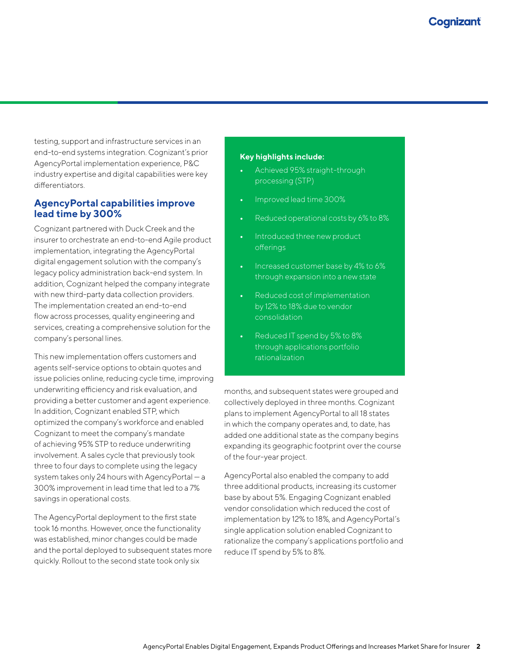testing, support and infrastructure services in an end-to-end systems integration. Cognizant's prior AgencyPortal implementation experience, P&C industry expertise and digital capabilities were key differentiators.

## **AgencyPortal capabilities improve lead time by 300%**

Cognizant partnered with Duck Creek and the insurer to orchestrate an end-to-end Agile product implementation, integrating the AgencyPortal digital engagement solution with the company's legacy policy administration back-end system. In addition, Cognizant helped the company integrate with new third-party data collection providers. The implementation created an end-to-end flow across processes, quality engineering and services, creating a comprehensive solution for the company's personal lines.

This new implementation offers customers and agents self-service options to obtain quotes and issue policies online, reducing cycle time, improving underwriting efficiency and risk evaluation, and providing a better customer and agent experience. In addition, Cognizant enabled STP, which optimized the company's workforce and enabled Cognizant to meet the company's mandate of achieving 95% STP to reduce underwriting involvement. A sales cycle that previously took three to four days to complete using the legacy system takes only 24 hours with AgencyPortal — a 300% improvement in lead time that led to a 7% savings in operational costs.

The AgencyPortal deployment to the first state took 16 months. However, once the functionality was established, minor changes could be made and the portal deployed to subsequent states more quickly. Rollout to the second state took only six

### **Key highlights include:**

- **•** Achieved 95% straight-through processing (STP)
- **•** Improved lead time 300%
- **•** Reduced operational costs by 6% to 8%
- **•** Introduced three new product offerings
- **•** Increased customer base by 4% to 6% through expansion into a new state
- **•** Reduced cost of implementation by 12% to 18% due to vendor consolidation
- **•** Reduced IT spend by 5% to 8% through applications portfolio rationalization

months, and subsequent states were grouped and collectively deployed in three months. Cognizant plans to implement AgencyPortal to all 18 states in which the company operates and, to date, has added one additional state as the company begins expanding its geographic footprint over the course of the four-year project.

AgencyPortal also enabled the company to add three additional products, increasing its customer base by about 5%. Engaging Cognizant enabled vendor consolidation which reduced the cost of implementation by 12% to 18%, and AgencyPortal's single application solution enabled Cognizant to rationalize the company's applications portfolio and reduce IT spend by 5% to 8%.